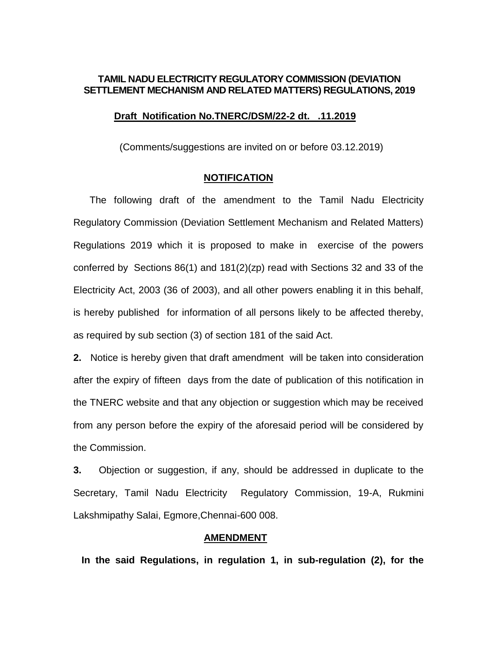### **TAMIL NADU ELECTRICITY REGULATORY COMMISSION (DEVIATION SETTLEMENT MECHANISM AND RELATED MATTERS) REGULATIONS, 2019**

#### **Draft Notification No.TNERC/DSM/22-2 dt. .11.2019**

(Comments/suggestions are invited on or before 03.12.2019)

#### **NOTIFICATION**

 The following draft of the amendment to the Tamil Nadu Electricity Regulatory Commission (Deviation Settlement Mechanism and Related Matters) Regulations 2019 which it is proposed to make in exercise of the powers conferred by Sections 86(1) and 181(2)(zp) read with Sections 32 and 33 of the Electricity Act, 2003 (36 of 2003), and all other powers enabling it in this behalf, is hereby published for information of all persons likely to be affected thereby, as required by sub section (3) of section 181 of the said Act.

**2.** Notice is hereby given that draft amendment will be taken into consideration after the expiry of fifteen days from the date of publication of this notification in the TNERC website and that any objection or suggestion which may be received from any person before the expiry of the aforesaid period will be considered by the Commission.

**3.** Objection or suggestion, if any, should be addressed in duplicate to the Secretary, Tamil Nadu Electricity Regulatory Commission, 19-A, Rukmini Lakshmipathy Salai, Egmore,Chennai-600 008.

### **AMENDMENT**

 **In the said Regulations, in regulation 1, in sub-regulation (2), for the**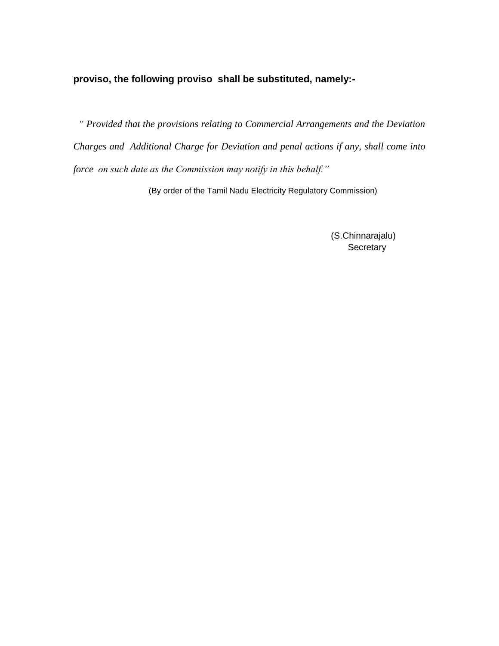# **proviso, the following proviso shall be substituted, namely:-**

 *" Provided that the provisions relating to Commercial Arrangements and the Deviation Charges and Additional Charge for Deviation and penal actions if any, shall come into force on such date as the Commission may notify in this behalf."*

(By order of the Tamil Nadu Electricity Regulatory Commission)

 (S.Chinnarajalu) **Secretary**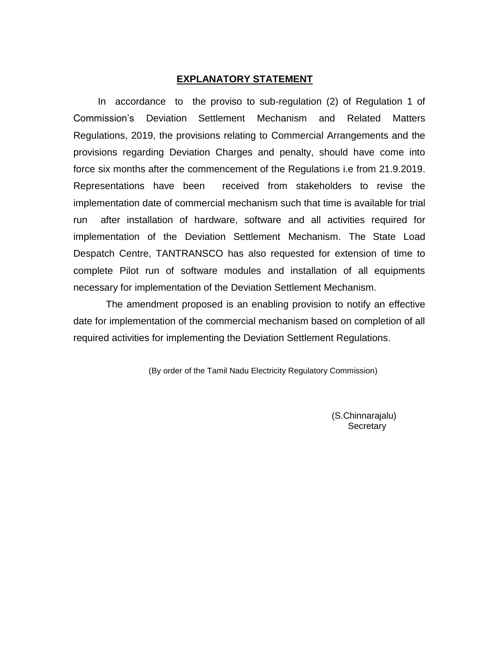#### **EXPLANATORY STATEMENT**

 In accordance to the proviso to sub-regulation (2) of Regulation 1 of Commission's Deviation Settlement Mechanism and Related Matters Regulations, 2019, the provisions relating to Commercial Arrangements and the provisions regarding Deviation Charges and penalty, should have come into force six months after the commencement of the Regulations i.e from 21.9.2019. Representations have been received from stakeholders to revise the implementation date of commercial mechanism such that time is available for trial run after installation of hardware, software and all activities required for implementation of the Deviation Settlement Mechanism. The State Load Despatch Centre, TANTRANSCO has also requested for extension of time to complete Pilot run of software modules and installation of all equipments necessary for implementation of the Deviation Settlement Mechanism.

 The amendment proposed is an enabling provision to notify an effective date for implementation of the commercial mechanism based on completion of all required activities for implementing the Deviation Settlement Regulations.

(By order of the Tamil Nadu Electricity Regulatory Commission)

 (S.Chinnarajalu) **Secretary**